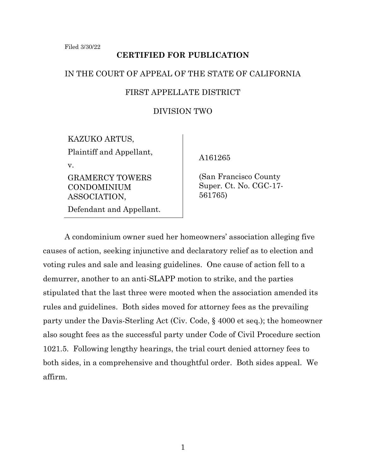# **CERTIFIED FOR PUBLICATION**

## IN THE COURT OF APPEAL OF THE STATE OF CALIFORNIA

# FIRST APPELLATE DISTRICT

# DIVISION TWO

KAZUKO ARTUS, Plaintiff and Appellant, v.

GRAMERCY TOWERS CONDOMINIUM ASSOCIATION, Defendant and Appellant. A161265

 (San Francisco County Super. Ct. No. CGC-17- 561765)

A condominium owner sued her homeowners' association alleging five causes of action, seeking injunctive and declaratory relief as to election and voting rules and sale and leasing guidelines. One cause of action fell to a demurrer, another to an anti-SLAPP motion to strike, and the parties stipulated that the last three were mooted when the association amended its rules and guidelines. Both sides moved for attorney fees as the prevailing party under the Davis-Sterling Act (Civ. Code, § 4000 et seq.); the homeowner also sought fees as the successful party under Code of Civil Procedure section 1021.5. Following lengthy hearings, the trial court denied attorney fees to both sides, in a comprehensive and thoughtful order. Both sides appeal. We affirm.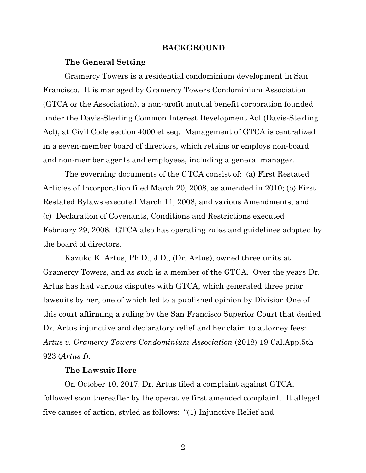### **BACKGROUND**

#### **The General Setting**

Gramercy Towers is a residential condominium development in San Francisco. It is managed by Gramercy Towers Condominium Association (GTCA or the Association), a non-profit mutual benefit corporation founded under the Davis-Sterling Common Interest Development Act (Davis-Sterling Act), at Civil Code section 4000 et seq. Management of GTCA is centralized in a seven-member board of directors, which retains or employs non-board and non-member agents and employees, including a general manager.

The governing documents of the GTCA consist of: (a) First Restated Articles of Incorporation filed March 20, 2008, as amended in 2010; (b) First Restated Bylaws executed March 11, 2008, and various Amendments; and (c) Declaration of Covenants, Conditions and Restrictions executed February 29, 2008. GTCA also has operating rules and guidelines adopted by the board of directors.

Kazuko K. Artus, Ph.D., J.D., (Dr. Artus), owned three units at Gramercy Towers, and as such is a member of the GTCA. Over the years Dr. Artus has had various disputes with GTCA, which generated three prior lawsuits by her, one of which led to a published opinion by Division One of this court affirming a ruling by the San Francisco Superior Court that denied Dr. Artus injunctive and declaratory relief and her claim to attorney fees: *Artus v. Gramercy Towers Condominium Association* (2018) 19 Cal.App.5th 923 (*Artus I*).

### **The Lawsuit Here**

On October 10, 2017, Dr. Artus filed a complaint against GTCA, followed soon thereafter by the operative first amended complaint. It alleged five causes of action, styled as follows: "(1) Injunctive Relief and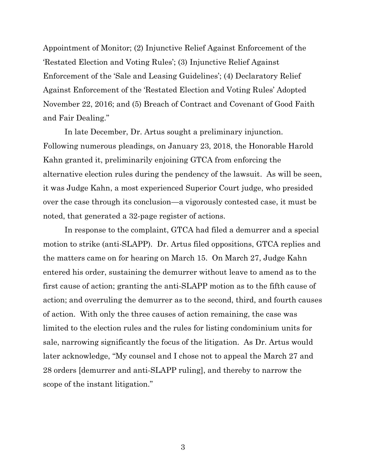Appointment of Monitor; (2) Injunctive Relief Against Enforcement of the 'Restated Election and Voting Rules'; (3) Injunctive Relief Against Enforcement of the 'Sale and Leasing Guidelines'; (4) Declaratory Relief Against Enforcement of the 'Restated Election and Voting Rules' Adopted November 22, 2016; and (5) Breach of Contract and Covenant of Good Faith and Fair Dealing."

In late December, Dr. Artus sought a preliminary injunction. Following numerous pleadings, on January 23, 2018, the Honorable Harold Kahn granted it, preliminarily enjoining GTCA from enforcing the alternative election rules during the pendency of the lawsuit. As will be seen, it was Judge Kahn, a most experienced Superior Court judge, who presided over the case through its conclusion—a vigorously contested case, it must be noted, that generated a 32-page register of actions.

In response to the complaint, GTCA had filed a demurrer and a special motion to strike (anti-SLAPP). Dr. Artus filed oppositions, GTCA replies and the matters came on for hearing on March 15. On March 27, Judge Kahn entered his order, sustaining the demurrer without leave to amend as to the first cause of action; granting the anti-SLAPP motion as to the fifth cause of action; and overruling the demurrer as to the second, third, and fourth causes of action. With only the three causes of action remaining, the case was limited to the election rules and the rules for listing condominium units for sale, narrowing significantly the focus of the litigation. As Dr. Artus would later acknowledge, "My counsel and I chose not to appeal the March 27 and 28 orders [demurrer and anti-SLAPP ruling], and thereby to narrow the scope of the instant litigation."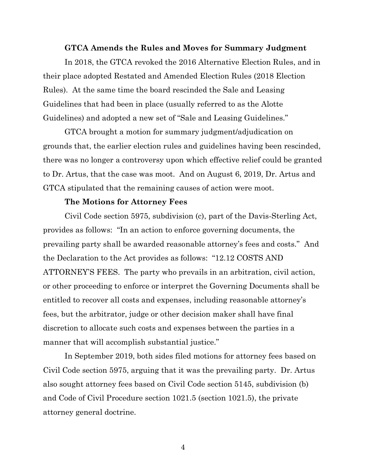## **GTCA Amends the Rules and Moves for Summary Judgment**

In 2018, the GTCA revoked the 2016 Alternative Election Rules, and in their place adopted Restated and Amended Election Rules (2018 Election Rules). At the same time the board rescinded the Sale and Leasing Guidelines that had been in place (usually referred to as the Alotte Guidelines) and adopted a new set of "Sale and Leasing Guidelines."

GTCA brought a motion for summary judgment/adjudication on grounds that, the earlier election rules and guidelines having been rescinded, there was no longer a controversy upon which effective relief could be granted to Dr. Artus, that the case was moot. And on August 6, 2019, Dr. Artus and GTCA stipulated that the remaining causes of action were moot.

#### **The Motions for Attorney Fees**

Civil Code section 5975, subdivision (c), part of the Davis-Sterling Act, provides as follows: "In an action to enforce governing documents, the prevailing party shall be awarded reasonable attorney's fees and costs." And the Declaration to the Act provides as follows: "12.12 COSTS AND ATTORNEY'S FEES. The party who prevails in an arbitration, civil action, or other proceeding to enforce or interpret the Governing Documents shall be entitled to recover all costs and expenses, including reasonable attorney's fees, but the arbitrator, judge or other decision maker shall have final discretion to allocate such costs and expenses between the parties in a manner that will accomplish substantial justice."

In September 2019, both sides filed motions for attorney fees based on Civil Code section 5975, arguing that it was the prevailing party. Dr. Artus also sought attorney fees based on Civil Code section 5145, subdivision (b) and Code of Civil Procedure section 1021.5 (section 1021.5), the private attorney general doctrine.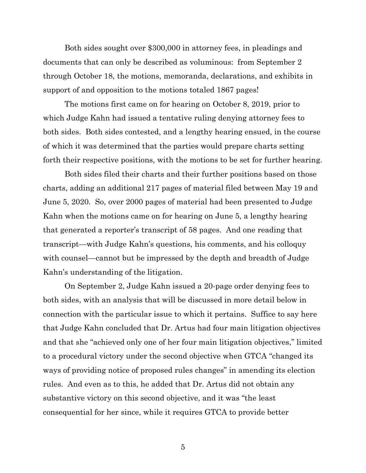Both sides sought over \$300,000 in attorney fees, in pleadings and documents that can only be described as voluminous: from September 2 through October 18, the motions, memoranda, declarations, and exhibits in support of and opposition to the motions totaled 1867 pages!

The motions first came on for hearing on October 8, 2019, prior to which Judge Kahn had issued a tentative ruling denying attorney fees to both sides. Both sides contested, and a lengthy hearing ensued, in the course of which it was determined that the parties would prepare charts setting forth their respective positions, with the motions to be set for further hearing.

Both sides filed their charts and their further positions based on those charts, adding an additional 217 pages of material filed between May 19 and June 5, 2020. So, over 2000 pages of material had been presented to Judge Kahn when the motions came on for hearing on June 5, a lengthy hearing that generated a reporter's transcript of 58 pages. And one reading that transcript—with Judge Kahn's questions, his comments, and his colloquy with counsel—cannot but be impressed by the depth and breadth of Judge Kahn's understanding of the litigation.

On September 2, Judge Kahn issued a 20-page order denying fees to both sides, with an analysis that will be discussed in more detail below in connection with the particular issue to which it pertains. Suffice to say here that Judge Kahn concluded that Dr. Artus had four main litigation objectives and that she "achieved only one of her four main litigation objectives," limited to a procedural victory under the second objective when GTCA "changed its ways of providing notice of proposed rules changes" in amending its election rules. And even as to this, he added that Dr. Artus did not obtain any substantive victory on this second objective, and it was "the least consequential for her since, while it requires GTCA to provide better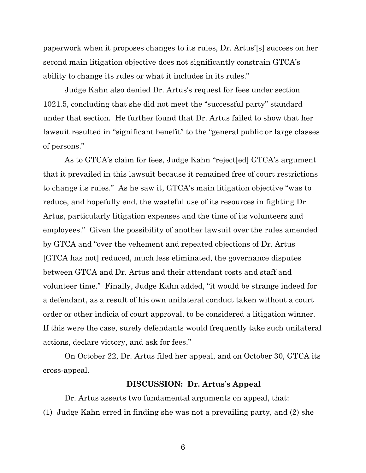paperwork when it proposes changes to its rules, Dr. Artus'[s] success on her second main litigation objective does not significantly constrain GTCA's ability to change its rules or what it includes in its rules."

Judge Kahn also denied Dr. Artus's request for fees under section 1021.5, concluding that she did not meet the "successful party" standard under that section. He further found that Dr. Artus failed to show that her lawsuit resulted in "significant benefit" to the "general public or large classes of persons."

As to GTCA's claim for fees, Judge Kahn "reject[ed] GTCA's argument that it prevailed in this lawsuit because it remained free of court restrictions to change its rules." As he saw it, GTCA's main litigation objective "was to reduce, and hopefully end, the wasteful use of its resources in fighting Dr. Artus, particularly litigation expenses and the time of its volunteers and employees." Given the possibility of another lawsuit over the rules amended by GTCA and "over the vehement and repeated objections of Dr. Artus [GTCA has not] reduced, much less eliminated, the governance disputes between GTCA and Dr. Artus and their attendant costs and staff and volunteer time." Finally, Judge Kahn added, "it would be strange indeed for a defendant, as a result of his own unilateral conduct taken without a court order or other indicia of court approval, to be considered a litigation winner. If this were the case, surely defendants would frequently take such unilateral actions, declare victory, and ask for fees."

On October 22, Dr. Artus filed her appeal, and on October 30, GTCA its cross-appeal.

### **DISCUSSION: Dr. Artus's Appeal**

Dr. Artus asserts two fundamental arguments on appeal, that: (1) Judge Kahn erred in finding she was not a prevailing party, and (2) she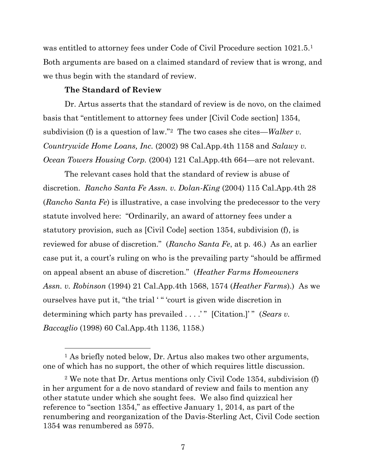was entitled to attorney fees under Code of Civil Procedure section  $1021.5$ <sup>1</sup> Both arguments are based on a claimed standard of review that is wrong, and we thus begin with the standard of review.

# **The Standard of Review**

Dr. Artus asserts that the standard of review is de novo, on the claimed basis that "entitlement to attorney fees under [Civil Code section] 1354, subdivision (f) is a question of law."<sup>2</sup> The two cases she cites—*Walker v. Countrywide Home Loans, Inc.* (2002) 98 Cal.App.4th 1158 and *Salawy v. Ocean Towers Housing Corp.* (2004) 121 Cal.App.4th 664—are not relevant.

The relevant cases hold that the standard of review is abuse of discretion. *Rancho Santa Fe Assn. v. Dolan-King* (2004) 115 Cal.App.4th 28 (*Rancho Santa Fe*) is illustrative, a case involving the predecessor to the very statute involved here: "Ordinarily, an award of attorney fees under a statutory provision, such as [Civil Code] section 1354, subdivision (f), is reviewed for abuse of discretion." (*Rancho Santa Fe*, at p. 46.) As an earlier case put it, a court's ruling on who is the prevailing party "should be affirmed on appeal absent an abuse of discretion." (*Heather Farms Homeowners Assn. v. Robinson* (1994) 21 Cal.App.4th 1568, 1574 (*Heather Farms*).) As we ourselves have put it, "the trial ' " 'court is given wide discretion in determining which party has prevailed . . . .'" [Citation.]'" (*Sears v. Baccaglio* (1998) 60 Cal.App.4th 1136, 1158.)

<sup>&</sup>lt;sup>1</sup> As briefly noted below, Dr. Artus also makes two other arguments, one of which has no support, the other of which requires little discussion.

<sup>2</sup> We note that Dr. Artus mentions only Civil Code 1354, subdivision (f) in her argument for a de novo standard of review and fails to mention any other statute under which she sought fees. We also find quizzical her reference to "section 1354," as effective January 1, 2014, as part of the renumbering and reorganization of the Davis-Sterling Act, Civil Code section 1354 was renumbered as 5975.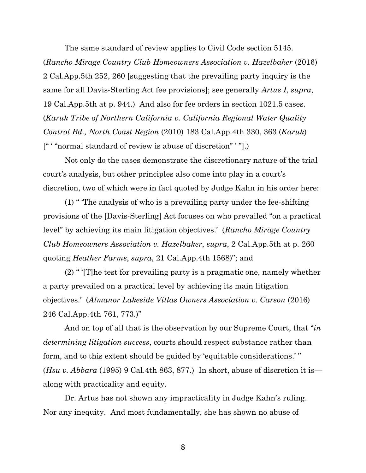The same standard of review applies to Civil Code section 5145. (*Rancho Mirage Country Club Homeowners Association v. Hazelbaker* (2016) 2 Cal.App.5th 252, 260 [suggesting that the prevailing party inquiry is the same for all Davis-Sterling Act fee provisions]; see generally *Artus I*, *supra*, 19 Cal.App.5th at p. 944.) And also for fee orders in section 1021.5 cases. (*Karuk Tribe of Northern California v. California Regional Water Quality Control Bd., North Coast Region* (2010) 183 Cal.App.4th 330, 363 (*Karuk*) ["" "normal standard of review is abuse of discretion" '"].)

Not only do the cases demonstrate the discretionary nature of the trial court's analysis, but other principles also come into play in a court's discretion, two of which were in fact quoted by Judge Kahn in his order here:

(1) " 'The analysis of who is a prevailing party under the fee-shifting provisions of the [Davis-Sterling] Act focuses on who prevailed "on a practical level" by achieving its main litigation objectives.' (*Rancho Mirage Country Club Homeowners Association v. Hazelbaker*, *supra*, 2 Cal.App.5th at p. 260 quoting *Heather Farms*, *supra*, 21 Cal.App.4th 1568)"; and

(2) " '[T]he test for prevailing party is a pragmatic one, namely whether a party prevailed on a practical level by achieving its main litigation objectives.' (*Almanor Lakeside Villas Owners Association v. Carson* (2016) 246 Cal.App.4th 761, 773.)"

And on top of all that is the observation by our Supreme Court, that "*in determining litigation success*, courts should respect substance rather than form, and to this extent should be guided by 'equitable considerations.' " (*Hsu v. Abbara* (1995) 9 Cal.4th 863, 877.) In short, abuse of discretion it is along with practicality and equity.

Dr. Artus has not shown any impracticality in Judge Kahn's ruling. Nor any inequity. And most fundamentally, she has shown no abuse of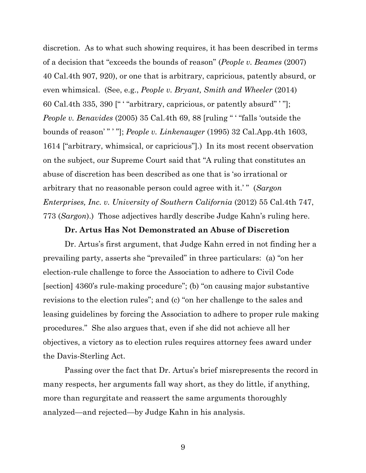discretion. As to what such showing requires, it has been described in terms of a decision that "exceeds the bounds of reason" (*People v. Beames* (2007) 40 Cal.4th 907, 920), or one that is arbitrary, capricious, patently absurd, or even whimsical. (See, e.g., *People v. Bryant, Smith and Wheeler* (2014) 60 Cal.4th 335, 390 [" "arbitrary, capricious, or patently absurd" '"]; *People v. Benavides* (2005) 35 Cal.4th 69, 88 [ruling " ' "falls 'outside the bounds of reason' " ' "]; *People v. Linkenauger* (1995) 32 Cal.App.4th 1603, 1614 ["arbitrary, whimsical, or capricious"].) In its most recent observation on the subject, our Supreme Court said that "A ruling that constitutes an abuse of discretion has been described as one that is 'so irrational or arbitrary that no reasonable person could agree with it.' " (*Sargon Enterprises, Inc. v. University of Southern California* (2012) 55 Cal.4th 747, 773 (*Sargon*).) Those adjectives hardly describe Judge Kahn's ruling here.

### **Dr. Artus Has Not Demonstrated an Abuse of Discretion**

Dr. Artus's first argument, that Judge Kahn erred in not finding her a prevailing party, asserts she "prevailed" in three particulars: (a) "on her election-rule challenge to force the Association to adhere to Civil Code [section] 4360's rule-making procedure"; (b) "on causing major substantive revisions to the election rules"; and (c) "on her challenge to the sales and leasing guidelines by forcing the Association to adhere to proper rule making procedures." She also argues that, even if she did not achieve all her objectives, a victory as to election rules requires attorney fees award under the Davis-Sterling Act.

Passing over the fact that Dr. Artus's brief misrepresents the record in many respects, her arguments fall way short, as they do little, if anything, more than regurgitate and reassert the same arguments thoroughly analyzed—and rejected—by Judge Kahn in his analysis.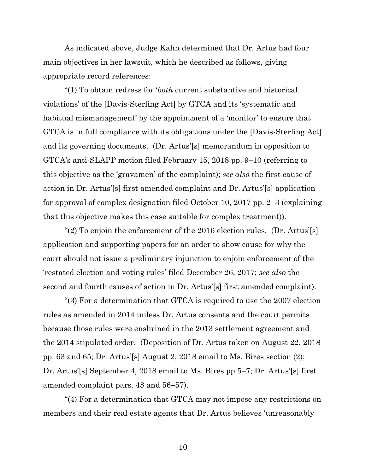As indicated above, Judge Kahn determined that Dr. Artus had four main objectives in her lawsuit, which he described as follows, giving appropriate record references:

"(1) To obtain redress for '*both* current substantive and historical violations' of the [Davis-Sterling Act] by GTCA and its 'systematic and habitual mismanagement' by the appointment of a 'monitor' to ensure that GTCA is in full compliance with its obligations under the [Davis-Sterling Act] and its governing documents. (Dr. Artus'[s] memorandum in opposition to GTCA's anti-SLAPP motion filed February 15, 2018 pp. 9−10 (referring to this objective as the 'gravamen' of the complaint); *see also* the first cause of action in Dr. Artus'[s] first amended complaint and Dr. Artus'[s] application for approval of complex designation filed October 10, 2017 pp. 2−3 (explaining that this objective makes this case suitable for complex treatment)).

"(2) To enjoin the enforcement of the 2016 election rules. (Dr. Artus'[s] application and supporting papers for an order to show cause for why the court should not issue a preliminary injunction to enjoin enforcement of the 'restated election and voting rules' filed December 26, 2017; *see also* the second and fourth causes of action in Dr. Artus'[s] first amended complaint).

"(3) For a determination that GTCA is required to use the 2007 election rules as amended in 2014 unless Dr. Artus consents and the court permits because those rules were enshrined in the 2013 settlement agreement and the 2014 stipulated order. (Deposition of Dr. Artus taken on August 22, 2018 pp. 63 and 65; Dr. Artus'[s] August 2, 2018 email to Ms. Bires section (2); Dr. Artus'[s] September 4, 2018 email to Ms. Bires pp 5−7; Dr. Artus'[s] first amended complaint pars. 48 and 56−57).

"(4) For a determination that GTCA may not impose any restrictions on members and their real estate agents that Dr. Artus believes 'unreasonably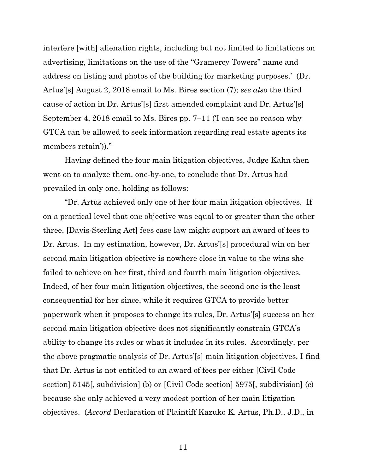interfere [with] alienation rights, including but not limited to limitations on advertising, limitations on the use of the "Gramercy Towers" name and address on listing and photos of the building for marketing purposes.' (Dr. Artus'[s] August 2, 2018 email to Ms. Bires section (7); *see also* the third cause of action in Dr. Artus'[s] first amended complaint and Dr. Artus'[s] September 4, 2018 email to Ms. Bires pp. 7−11 ('I can see no reason why GTCA can be allowed to seek information regarding real estate agents its members retain'))."

Having defined the four main litigation objectives, Judge Kahn then went on to analyze them, one-by-one, to conclude that Dr. Artus had prevailed in only one, holding as follows:

"Dr. Artus achieved only one of her four main litigation objectives. If on a practical level that one objective was equal to or greater than the other three, [Davis-Sterling Act] fees case law might support an award of fees to Dr. Artus. In my estimation, however, Dr. Artus'[s] procedural win on her second main litigation objective is nowhere close in value to the wins she failed to achieve on her first, third and fourth main litigation objectives. Indeed, of her four main litigation objectives, the second one is the least consequential for her since, while it requires GTCA to provide better paperwork when it proposes to change its rules, Dr. Artus'[s] success on her second main litigation objective does not significantly constrain GTCA's ability to change its rules or what it includes in its rules. Accordingly, per the above pragmatic analysis of Dr. Artus'[s] main litigation objectives, I find that Dr. Artus is not entitled to an award of fees per either [Civil Code section] 5145[, subdivision] (b) or [Civil Code section] 5975[, subdivision] (c) because she only achieved a very modest portion of her main litigation objectives. (*Accord* Declaration of Plaintiff Kazuko K. Artus, Ph.D., J.D., in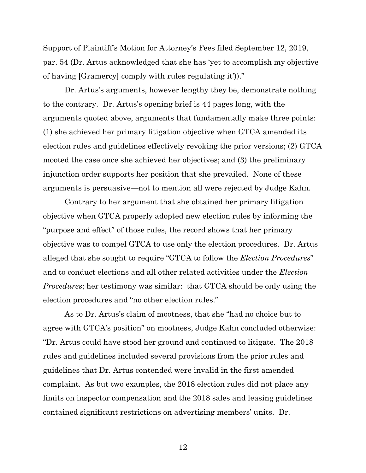Support of Plaintiff's Motion for Attorney's Fees filed September 12, 2019, par. 54 (Dr. Artus acknowledged that she has 'yet to accomplish my objective of having [Gramercy] comply with rules regulating it'))."

Dr. Artus's arguments, however lengthy they be, demonstrate nothing to the contrary. Dr. Artus's opening brief is 44 pages long, with the arguments quoted above, arguments that fundamentally make three points: (1) she achieved her primary litigation objective when GTCA amended its election rules and guidelines effectively revoking the prior versions; (2) GTCA mooted the case once she achieved her objectives; and (3) the preliminary injunction order supports her position that she prevailed. None of these arguments is persuasive—not to mention all were rejected by Judge Kahn.

Contrary to her argument that she obtained her primary litigation objective when GTCA properly adopted new election rules by informing the "purpose and effect" of those rules, the record shows that her primary objective was to compel GTCA to use only the election procedures. Dr. Artus alleged that she sought to require "GTCA to follow the *Election Procedures*" and to conduct elections and all other related activities under the *Election Procedures*; her testimony was similar: that GTCA should be only using the election procedures and "no other election rules."

As to Dr. Artus's claim of mootness, that she "had no choice but to agree with GTCA's position" on mootness, Judge Kahn concluded otherwise: "Dr. Artus could have stood her ground and continued to litigate. The 2018 rules and guidelines included several provisions from the prior rules and guidelines that Dr. Artus contended were invalid in the first amended complaint. As but two examples, the 2018 election rules did not place any limits on inspector compensation and the 2018 sales and leasing guidelines contained significant restrictions on advertising members' units. Dr.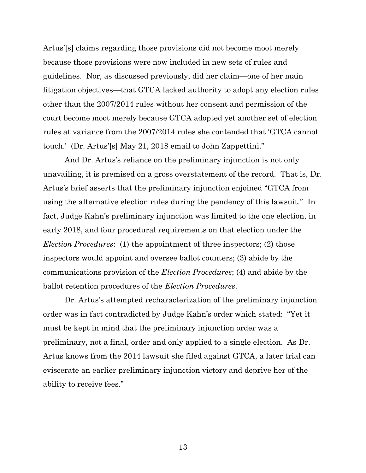Artus'[s] claims regarding those provisions did not become moot merely because those provisions were now included in new sets of rules and guidelines. Nor, as discussed previously, did her claim—one of her main litigation objectives—that GTCA lacked authority to adopt any election rules other than the 2007/2014 rules without her consent and permission of the court become moot merely because GTCA adopted yet another set of election rules at variance from the 2007/2014 rules she contended that 'GTCA cannot touch.' (Dr. Artus'[s] May 21, 2018 email to John Zappettini."

And Dr. Artus's reliance on the preliminary injunction is not only unavailing, it is premised on a gross overstatement of the record. That is, Dr. Artus's brief asserts that the preliminary injunction enjoined "GTCA from using the alternative election rules during the pendency of this lawsuit." In fact, Judge Kahn's preliminary injunction was limited to the one election, in early 2018, and four procedural requirements on that election under the *Election Procedures*: (1) the appointment of three inspectors; (2) those inspectors would appoint and oversee ballot counters; (3) abide by the communications provision of the *Election Procedures*; (4) and abide by the ballot retention procedures of the *Election Procedures*.

Dr. Artus's attempted recharacterization of the preliminary injunction order was in fact contradicted by Judge Kahn's order which stated: "Yet it must be kept in mind that the preliminary injunction order was a preliminary, not a final, order and only applied to a single election. As Dr. Artus knows from the 2014 lawsuit she filed against GTCA, a later trial can eviscerate an earlier preliminary injunction victory and deprive her of the ability to receive fees."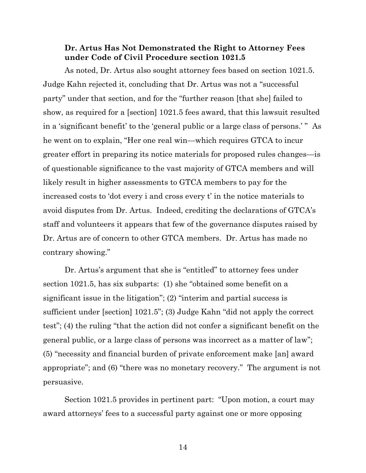# **Dr. Artus Has Not Demonstrated the Right to Attorney Fees under Code of Civil Procedure section 1021.5**

As noted, Dr. Artus also sought attorney fees based on section 1021.5. Judge Kahn rejected it, concluding that Dr. Artus was not a "successful party" under that section, and for the "further reason [that she] failed to show, as required for a [section] 1021.5 fees award, that this lawsuit resulted in a 'significant benefit' to the 'general public or a large class of persons.' " As he went on to explain, "Her one real win—which requires GTCA to incur greater effort in preparing its notice materials for proposed rules changes—is of questionable significance to the vast majority of GTCA members and will likely result in higher assessments to GTCA members to pay for the increased costs to 'dot every i and cross every t' in the notice materials to avoid disputes from Dr. Artus. Indeed, crediting the declarations of GTCA's staff and volunteers it appears that few of the governance disputes raised by Dr. Artus are of concern to other GTCA members. Dr. Artus has made no contrary showing."

Dr. Artus's argument that she is "entitled" to attorney fees under section 1021.5, has six subparts: (1) she "obtained some benefit on a significant issue in the litigation"; (2) "interim and partial success is sufficient under [section] 1021.5"; (3) Judge Kahn "did not apply the correct test"; (4) the ruling "that the action did not confer a significant benefit on the general public, or a large class of persons was incorrect as a matter of law"; (5) "necessity and financial burden of private enforcement make [an] award appropriate"; and (6) "there was no monetary recovery." The argument is not persuasive.

Section 1021.5 provides in pertinent part: "Upon motion, a court may award attorneys' fees to a successful party against one or more opposing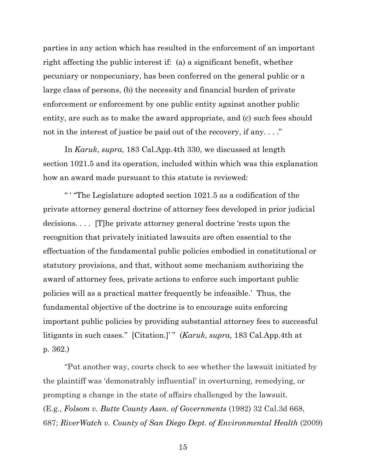parties in any action which has resulted in the enforcement of an important right affecting the public interest if: (a) a significant benefit, whether pecuniary or nonpecuniary, has been conferred on the general public or a large class of persons, (b) the necessity and financial burden of private enforcement or enforcement by one public entity against another public entity, are such as to make the award appropriate, and (c) such fees should not in the interest of justice be paid out of the recovery, if any...."

In *Karuk*, *supra*, 183 Cal.App.4th 330, we discussed at length section 1021.5 and its operation, included within which was this explanation how an award made pursuant to this statute is reviewed:

" ' "The Legislature adopted section 1021.5 as a codification of the private attorney general doctrine of attorney fees developed in prior judicial decisions. . . . [T]he private attorney general doctrine 'rests upon the recognition that privately initiated lawsuits are often essential to the effectuation of the fundamental public policies embodied in constitutional or statutory provisions, and that, without some mechanism authorizing the award of attorney fees, private actions to enforce such important public policies will as a practical matter frequently be infeasible.' Thus, the fundamental objective of the doctrine is to encourage suits enforcing important public policies by providing substantial attorney fees to successful litigants in such cases." [Citation.]' " (*Karuk*, *supra*, 183 Cal.App.4th at p. 362.)

"Put another way, courts check to see whether the lawsuit initiated by the plaintiff was 'demonstrably influential' in overturning, remedying, or prompting a change in the state of affairs challenged by the lawsuit. (E.g., *Folsom v. Butte County Assn. of Governments* (1982) 32 Cal.3d 668, 687; *RiverWatch v. County of San Diego Dept. of Environmental Health* (2009)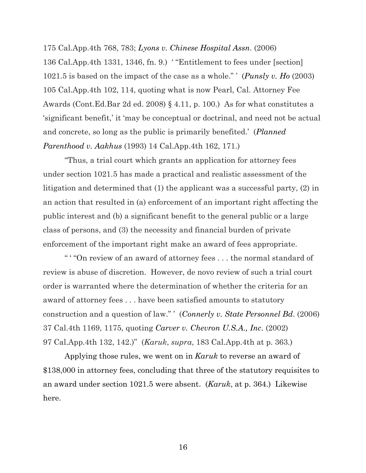175 Cal.App.4th 768, 783; *Lyons v. Chinese Hospital Assn*. (2006) 136 Cal.App.4th 1331, 1346, fn. 9.) ' "Entitlement to fees under [section] 1021.5 is based on the impact of the case as a whole." ' (*Punsly v. Ho* (2003) 105 Cal.App.4th 102, 114, quoting what is now Pearl, Cal. Attorney Fee Awards (Cont.Ed.Bar 2d ed. 2008) § 4.11, p. 100.) As for what constitutes a 'significant benefit,' it 'may be conceptual or doctrinal, and need not be actual and concrete, so long as the public is primarily benefited.' (*Planned Parenthood v. Aakhus* (1993) 14 Cal.App.4th 162, 171.)

"Thus, a trial court which grants an application for attorney fees under section 1021.5 has made a practical and realistic assessment of the litigation and determined that (1) the applicant was a successful party, (2) in an action that resulted in (a) enforcement of an important right affecting the public interest and (b) a significant benefit to the general public or a large class of persons, and (3) the necessity and financial burden of private enforcement of the important right make an award of fees appropriate.

" ' "On review of an award of attorney fees . . . the normal standard of review is abuse of discretion. However, de novo review of such a trial court order is warranted where the determination of whether the criteria for an award of attorney fees . . . have been satisfied amounts to statutory construction and a question of law." ' (*Connerly v. State Personnel Bd*. (2006) 37 Cal.4th 1169, 1175, quoting *Carver v. Chevron U.S.A., Inc*. (2002) 97 Cal.App.4th 132, 142.)" (*Karuk*, *supra*, 183 Cal.App.4th at p. 363.)

Applying those rules, we went on in *Karuk* to reverse an award of \$138,000 in attorney fees, concluding that three of the statutory requisites to an award under section 1021.5 were absent. (*Karuk*, at p. 364.) Likewise here.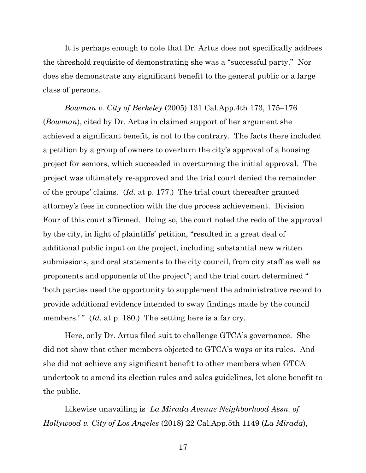It is perhaps enough to note that Dr. Artus does not specifically address the threshold requisite of demonstrating she was a "successful party." Nor does she demonstrate any significant benefit to the general public or a large class of persons.

*Bowman v. City of Berkeley* (2005) 131 Cal.App.4th 173, 175−176 (*Bowman*), cited by Dr. Artus in claimed support of her argument she achieved a significant benefit, is not to the contrary. The facts there included a petition by a group of owners to overturn the city's approval of a housing project for seniors, which succeeded in overturning the initial approval. The project was ultimately re-approved and the trial court denied the remainder of the groups' claims. (*Id.* at p. 177.) The trial court thereafter granted attorney's fees in connection with the due process achievement. Division Four of this court affirmed. Doing so, the court noted the redo of the approval by the city, in light of plaintiffs' petition, "resulted in a great deal of additional public input on the project, including substantial new written submissions, and oral statements to the city council, from city staff as well as proponents and opponents of the project"; and the trial court determined " 'both parties used the opportunity to supplement the administrative record to provide additional evidence intended to sway findings made by the council members.'" (*Id.* at p. 180.) The setting here is a far cry.

Here, only Dr. Artus filed suit to challenge GTCA's governance. She did not show that other members objected to GTCA's ways or its rules. And she did not achieve any significant benefit to other members when GTCA undertook to amend its election rules and sales guidelines, let alone benefit to the public.

Likewise unavailing is *La Mirada Avenue Neighborhood Assn. of Hollywood v. City of Los Angeles* (2018) 22 Cal.App.5th 1149 (*La Mirada*),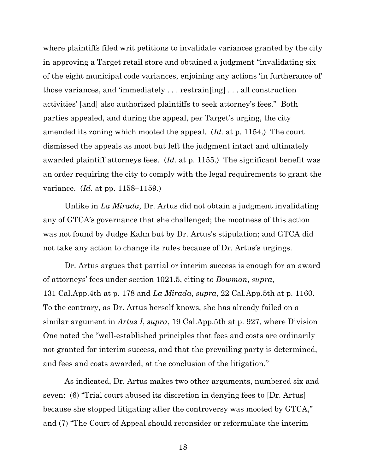where plaintiffs filed writ petitions to invalidate variances granted by the city in approving a Target retail store and obtained a judgment "invalidating six of the eight municipal code variances, enjoining any actions 'in furtherance of' those variances, and 'immediately . . . restrain[ing] . . . all construction activities' [and] also authorized plaintiffs to seek attorney's fees." Both parties appealed, and during the appeal, per Target's urging, the city amended its zoning which mooted the appeal. (*Id.* at p. 1154.) The court dismissed the appeals as moot but left the judgment intact and ultimately awarded plaintiff attorneys fees. (*Id.* at p. 1155.) The significant benefit was an order requiring the city to comply with the legal requirements to grant the variance. (*Id.* at pp. 1158−1159.)

Unlike in *La Mirada,* Dr. Artus did not obtain a judgment invalidating any of GTCA's governance that she challenged; the mootness of this action was not found by Judge Kahn but by Dr. Artus's stipulation; and GTCA did not take any action to change its rules because of Dr. Artus's urgings.

Dr. Artus argues that partial or interim success is enough for an award of attorneys' fees under section 1021.5, citing to *Bowman*, *supra*, 131 Cal.App.4th at p. 178 and *La Mirada*, *supra*, 22 Cal.App.5th at p. 1160. To the contrary, as Dr. Artus herself knows, she has already failed on a similar argument in *Artus I*, *supra*, 19 Cal.App.5th at p. 927, where Division One noted the "well-established principles that fees and costs are ordinarily not granted for interim success, and that the prevailing party is determined, and fees and costs awarded, at the conclusion of the litigation."

As indicated, Dr. Artus makes two other arguments, numbered six and seven: (6) "Trial court abused its discretion in denying fees to [Dr. Artus] because she stopped litigating after the controversy was mooted by GTCA," and (7) "The Court of Appeal should reconsider or reformulate the interim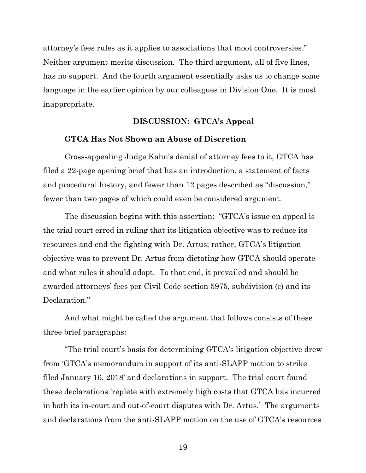attorney's fees rules as it applies to associations that moot controversies." Neither argument merits discussion. The third argument, all of five lines, has no support. And the fourth argument essentially asks us to change some language in the earlier opinion by our colleagues in Division One. It is most inappropriate.

## **DISCUSSION: GTCA's Appeal**

### **GTCA Has Not Shown an Abuse of Discretion**

Cross-appealing Judge Kahn's denial of attorney fees to it, GTCA has filed a 22-page opening brief that has an introduction, a statement of facts and procedural history, and fewer than 12 pages described as "discussion," fewer than two pages of which could even be considered argument.

The discussion begins with this assertion: "GTCA's issue on appeal is the trial court erred in ruling that its litigation objective was to reduce its resources and end the fighting with Dr. Artus; rather, GTCA's litigation objective was to prevent Dr. Artus from dictating how GTCA should operate and what rules it should adopt. To that end, it prevailed and should be awarded attorneys' fees per Civil Code section 5975, subdivision (c) and its Declaration."

And what might be called the argument that follows consists of these three brief paragraphs:

"The trial court's basis for determining GTCA's litigation objective drew from 'GTCA's memorandum in support of its anti-SLAPP motion to strike filed January 16, 2018' and declarations in support. The trial court found these declarations 'replete with extremely high costs that GTCA has incurred in both its in-court and out-of-court disputes with Dr. Artus.' The arguments and declarations from the anti-SLAPP motion on the use of GTCA's resources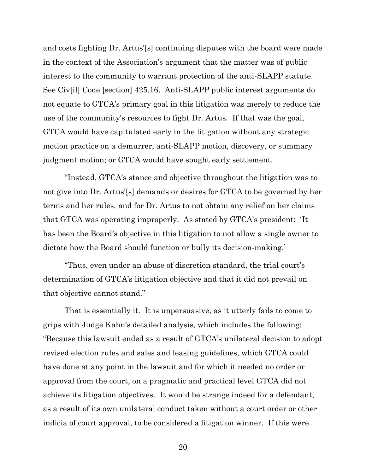and costs fighting Dr. Artus'[s] continuing disputes with the board were made in the context of the Association's argument that the matter was of public interest to the community to warrant protection of the anti-SLAPP statute. See Civ[il] Code [section] 425.16. Anti-SLAPP public interest arguments do not equate to GTCA's primary goal in this litigation was merely to reduce the use of the community's resources to fight Dr. Artus. If that was the goal, GTCA would have capitulated early in the litigation without any strategic motion practice on a demurrer, anti-SLAPP motion, discovery, or summary judgment motion; or GTCA would have sought early settlement.

"Instead, GTCA's stance and objective throughout the litigation was to not give into Dr. Artus'[s] demands or desires for GTCA to be governed by her terms and her rules, and for Dr. Artus to not obtain any relief on her claims that GTCA was operating improperly. As stated by GTCA's president: 'It has been the Board's objective in this litigation to not allow a single owner to dictate how the Board should function or bully its decision-making.'

"Thus, even under an abuse of discretion standard, the trial court's determination of GTCA's litigation objective and that it did not prevail on that objective cannot stand."

That is essentially it. It is unpersuasive, as it utterly fails to come to grips with Judge Kahn's detailed analysis, which includes the following: "Because this lawsuit ended as a result of GTCA's unilateral decision to adopt revised election rules and sales and leasing guidelines, which GTCA could have done at any point in the lawsuit and for which it needed no order or approval from the court, on a pragmatic and practical level GTCA did not achieve its litigation objectives. It would be strange indeed for a defendant, as a result of its own unilateral conduct taken without a court order or other indicia of court approval, to be considered a litigation winner. If this were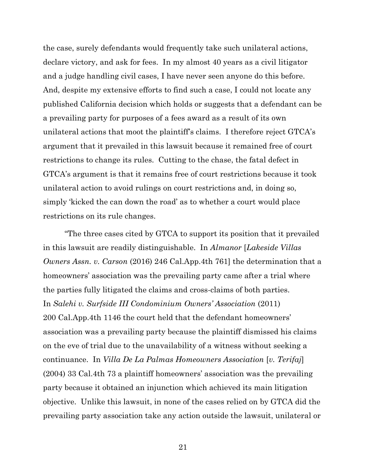the case, surely defendants would frequently take such unilateral actions, declare victory, and ask for fees. In my almost 40 years as a civil litigator and a judge handling civil cases, I have never seen anyone do this before. And, despite my extensive efforts to find such a case, I could not locate any published California decision which holds or suggests that a defendant can be a prevailing party for purposes of a fees award as a result of its own unilateral actions that moot the plaintiff's claims. I therefore reject GTCA's argument that it prevailed in this lawsuit because it remained free of court restrictions to change its rules. Cutting to the chase, the fatal defect in GTCA's argument is that it remains free of court restrictions because it took unilateral action to avoid rulings on court restrictions and, in doing so, simply 'kicked the can down the road' as to whether a court would place restrictions on its rule changes.

"The three cases cited by GTCA to support its position that it prevailed in this lawsuit are readily distinguishable. In *Almanor* [*Lakeside Villas Owners Assn. v. Carson* (2016) 246 Cal.App.4th 761] the determination that a homeowners' association was the prevailing party came after a trial where the parties fully litigated the claims and cross-claims of both parties. In *Salehi v. Surfside III Condominium Owners' Association* (2011) 200 Cal.App.4th 1146 the court held that the defendant homeowners' association was a prevailing party because the plaintiff dismissed his claims on the eve of trial due to the unavailability of a witness without seeking a continuance. In *Villa De La Palmas Homeowners Association* [*v. Terifaj*] (2004) 33 Cal.4th 73 a plaintiff homeowners' association was the prevailing party because it obtained an injunction which achieved its main litigation objective. Unlike this lawsuit, in none of the cases relied on by GTCA did the prevailing party association take any action outside the lawsuit, unilateral or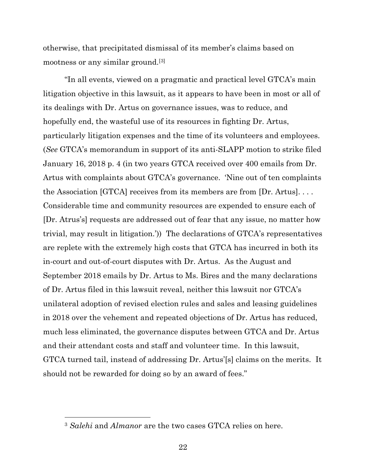otherwise, that precipitated dismissal of its member's claims based on mootness or any similar ground.[3]

"In all events, viewed on a pragmatic and practical level GTCA's main litigation objective in this lawsuit, as it appears to have been in most or all of its dealings with Dr. Artus on governance issues, was to reduce, and hopefully end, the wasteful use of its resources in fighting Dr. Artus, particularly litigation expenses and the time of its volunteers and employees. (*See* GTCA's memorandum in support of its anti-SLAPP motion to strike filed January 16, 2018 p. 4 (in two years GTCA received over 400 emails from Dr. Artus with complaints about GTCA's governance. 'Nine out of ten complaints the Association [GTCA] receives from its members are from [Dr. Artus]. . . . Considerable time and community resources are expended to ensure each of [Dr. Atrus's] requests are addressed out of fear that any issue, no matter how trivial, may result in litigation.')) The declarations of GTCA's representatives are replete with the extremely high costs that GTCA has incurred in both its in-court and out-of-court disputes with Dr. Artus. As the August and September 2018 emails by Dr. Artus to Ms. Bires and the many declarations of Dr. Artus filed in this lawsuit reveal, neither this lawsuit nor GTCA's unilateral adoption of revised election rules and sales and leasing guidelines in 2018 over the vehement and repeated objections of Dr. Artus has reduced, much less eliminated, the governance disputes between GTCA and Dr. Artus and their attendant costs and staff and volunteer time. In this lawsuit, GTCA turned tail, instead of addressing Dr. Artus'[s] claims on the merits. It should not be rewarded for doing so by an award of fees."

<sup>3</sup> *Salehi* and *Almanor* are the two cases GTCA relies on here.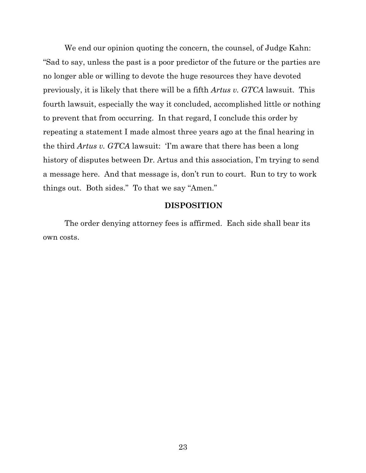We end our opinion quoting the concern, the counsel, of Judge Kahn: "Sad to say, unless the past is a poor predictor of the future or the parties are no longer able or willing to devote the huge resources they have devoted previously, it is likely that there will be a fifth *Artus v. GTCA* lawsuit. This fourth lawsuit, especially the way it concluded, accomplished little or nothing to prevent that from occurring. In that regard, I conclude this order by repeating a statement I made almost three years ago at the final hearing in the third *Artus v. GTCA* lawsuit: 'I'm aware that there has been a long history of disputes between Dr. Artus and this association, I'm trying to send a message here. And that message is, don't run to court. Run to try to work things out. Both sides." To that we say "Amen."

# **DISPOSITION**

The order denying attorney fees is affirmed. Each side shall bear its own costs.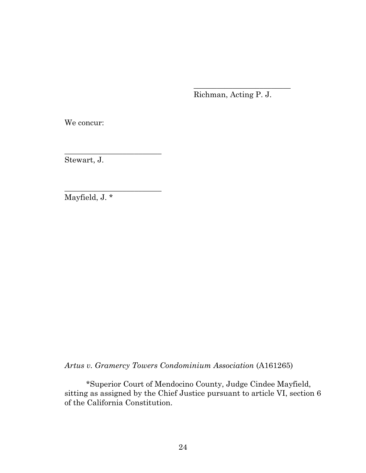Richman, Acting P. J.

\_\_\_\_\_\_\_\_\_\_\_\_\_\_\_\_\_\_\_\_\_\_\_\_\_

We concur:

Stewart, J.

\_\_\_\_\_\_\_\_\_\_\_\_\_\_\_\_\_\_\_\_\_\_\_\_\_

\_\_\_\_\_\_\_\_\_\_\_\_\_\_\_\_\_\_\_\_\_\_\_\_\_

Mayfield, J. \*

*Artus v. Gramercy Towers Condominium Association* (A161265)

\*Superior Court of Mendocino County, Judge Cindee Mayfield, sitting as assigned by the Chief Justice pursuant to article VI, section 6 of the California Constitution.